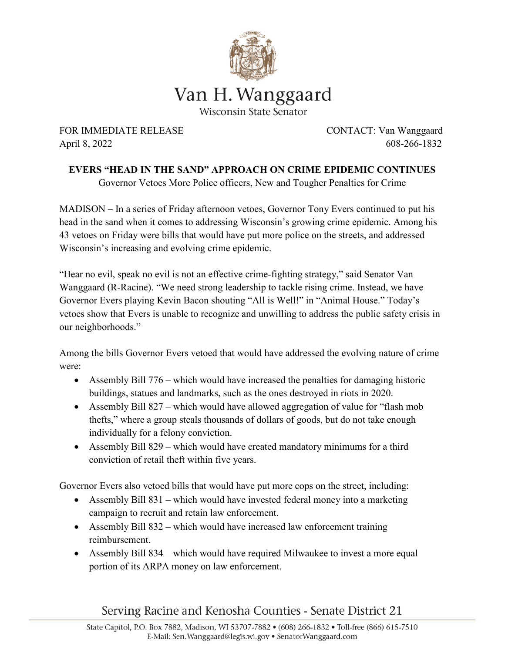

FOR IMMEDIATE RELEASE CONTACT: Van Wanggaard April 8, 2022 608-266-1832

**EVERS "HEAD IN THE SAND" APPROACH ON CRIME EPIDEMIC CONTINUES** Governor Vetoes More Police officers, New and Tougher Penalties for Crime

MADISON – In a series of Friday afternoon vetoes, Governor Tony Evers continued to put his head in the sand when it comes to addressing Wisconsin's growing crime epidemic. Among his 43 vetoes on Friday were bills that would have put more police on the streets, and addressed Wisconsin's increasing and evolving crime epidemic.

"Hear no evil, speak no evil is not an effective crime-fighting strategy," said Senator Van Wanggaard (R-Racine). "We need strong leadership to tackle rising crime. Instead, we have Governor Evers playing Kevin Bacon shouting "All is Well!" in "Animal House." Today's vetoes show that Evers is unable to recognize and unwilling to address the public safety crisis in our neighborhoods."

Among the bills Governor Evers vetoed that would have addressed the evolving nature of crime were:

- Assembly Bill 776 which would have increased the penalties for damaging historic buildings, statues and landmarks, such as the ones destroyed in riots in 2020.
- Assembly Bill 827 which would have allowed aggregation of value for "flash mob" thefts," where a group steals thousands of dollars of goods, but do not take enough individually for a felony conviction.
- Assembly Bill 829 which would have created mandatory minimums for a third conviction of retail theft within five years.

Governor Evers also vetoed bills that would have put more cops on the street, including:

- Assembly Bill 831 which would have invested federal money into a marketing campaign to recruit and retain law enforcement.
- Assembly Bill 832 which would have increased law enforcement training reimbursement.
- Assembly Bill 834 which would have required Milwaukee to invest a more equal portion of its ARPA money on law enforcement.

## Serving Racine and Kenosha Counties - Senate District 21